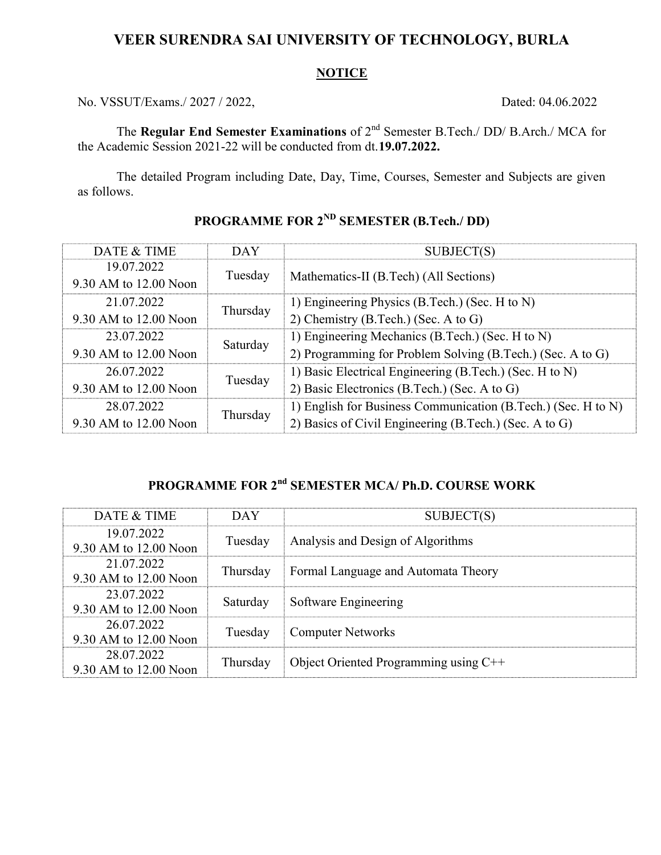## VEER SURENDRA SAI UNIVERSITY OF TECHNOLOGY, BURLA

#### **NOTICE**

No. VSSUT/Exams./ 2027 / 2022, Dated: 04.06.2022

The Regular End Semester Examinations of  $2^{nd}$  Semester B.Tech./ DD/ B.Arch./ MCA for the Academic Session 2021-22 will be conducted from dt.19.07.2022.

The detailed Program including Date, Day, Time, Courses, Semester and Subjects are given as follows.

| DATE & TIME           | <b>DAY</b> | SUBJECT(S)                                                    |
|-----------------------|------------|---------------------------------------------------------------|
| 19.07.2022            | Tuesday    | Mathematics-II (B.Tech) (All Sections)                        |
| 9.30 AM to 12.00 Noon |            |                                                               |
| 21.07.2022            | Thursday   | 1) Engineering Physics (B.Tech.) (Sec. H to N)                |
| 9.30 AM to 12.00 Noon |            | 2) Chemistry (B.Tech.) (Sec. A to G)                          |
| 23.07.2022            | Saturday   | 1) Engineering Mechanics (B.Tech.) (Sec. H to N)              |
| 9.30 AM to 12.00 Noon |            | 2) Programming for Problem Solving (B.Tech.) (Sec. A to G)    |
| 26.07.2022            | Tuesday    | 1) Basic Electrical Engineering (B.Tech.) (Sec. H to N)       |
| 9.30 AM to 12.00 Noon |            | 2) Basic Electronics (B.Tech.) (Sec. A to G)                  |
| 28.07.2022            | Thursday   | 1) English for Business Communication (B.Tech.) (Sec. H to N) |
| 9.30 AM to 12.00 Noon |            | 2) Basics of Civil Engineering (B.Tech.) (Sec. A to G)        |

# PROGRAMME FOR 2ND SEMESTER (B.Tech./ DD)

# PROGRAMME FOR 2<sup>nd</sup> SEMESTER MCA/ Ph.D. COURSE WORK

| DATE & TIME                         | <b>DAY</b> | SUBJECT(S)                            |
|-------------------------------------|------------|---------------------------------------|
| 19.07.2022<br>9.30 AM to 12.00 Noon | Tuesday    | Analysis and Design of Algorithms     |
| 21.07.2022<br>9.30 AM to 12.00 Noon | Thursday   | Formal Language and Automata Theory   |
| 23.07.2022<br>9.30 AM to 12.00 Noon | Saturday   | Software Engineering                  |
| 26.07.2022<br>9.30 AM to 12.00 Noon | Tuesday    | <b>Computer Networks</b>              |
| 28.07.2022<br>9.30 AM to 12.00 Noon | Thursday   | Object Oriented Programming using C++ |